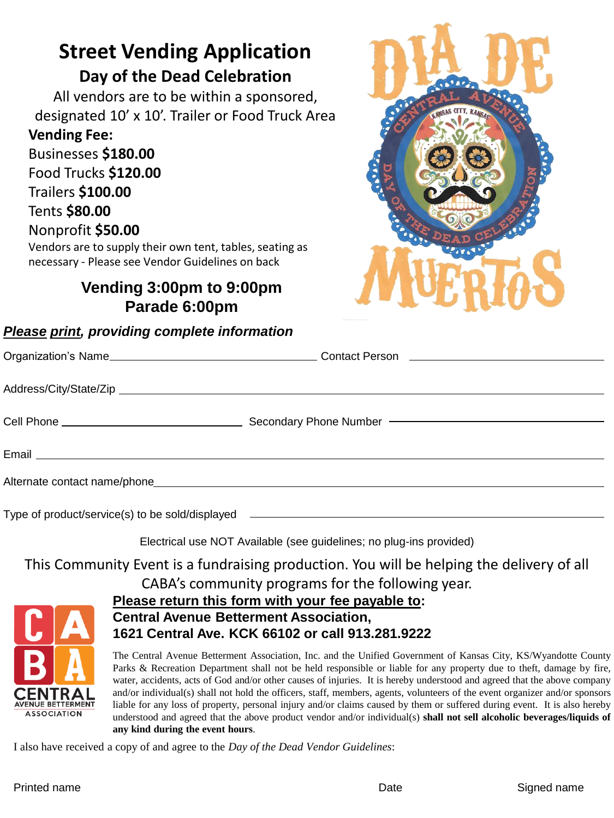# **Street Vending Application Day of the Dead Celebration**

All vendors are to be within a sponsored, designated 10' x 10'. Trailer or Food Truck Area

#### **Vending Fee:**

Businesses **\$180.00**  Food Trucks **\$120.00**  Trailers **\$100.00**  Tents **\$80.00**  Nonprofit **\$50.00** 

Vendors are to supply their own tent, tables, seating as necessary - Please see Vendor Guidelines on back

## **Vending 3:00pm to 9:00pm Parade 6:00pm**

#### *Please print, providing complete information*



| Cell Phone ___________________________________ |                                                                                  |
|------------------------------------------------|----------------------------------------------------------------------------------|
|                                                |                                                                                  |
|                                                |                                                                                  |
|                                                | Type of product/service(s) to be sold/displayed ________________________________ |

Electrical use NOT Available (see guidelines; no plug-ins provided)

This Community Event is a fundraising production. You will be helping the delivery of all

CABA's community programs for the following year.



#### **Please return this form with your fee payable to: Central Avenue Betterment Association, 1621 Central Ave. KCK 66102 or call 913.281.9222**

The Central Avenue Betterment Association, Inc. and the Unified Government of Kansas City, KS/Wyandotte County Parks & Recreation Department shall not be held responsible or liable for any property due to theft, damage by fire, water, accidents, acts of God and/or other causes of injuries. It is hereby understood and agreed that the above company and/or individual(s) shall not hold the officers, staff, members, agents, volunteers of the event organizer and/or sponsors liable for any loss of property, personal injury and/or claims caused by them or suffered during event. It is also hereby understood and agreed that the above product vendor and/or individual(s) **shall not sell alcoholic beverages/liquids of any kind during the event hours**.

I also have received a copy of and agree to the *Day of the Dead Vendor Guidelines*: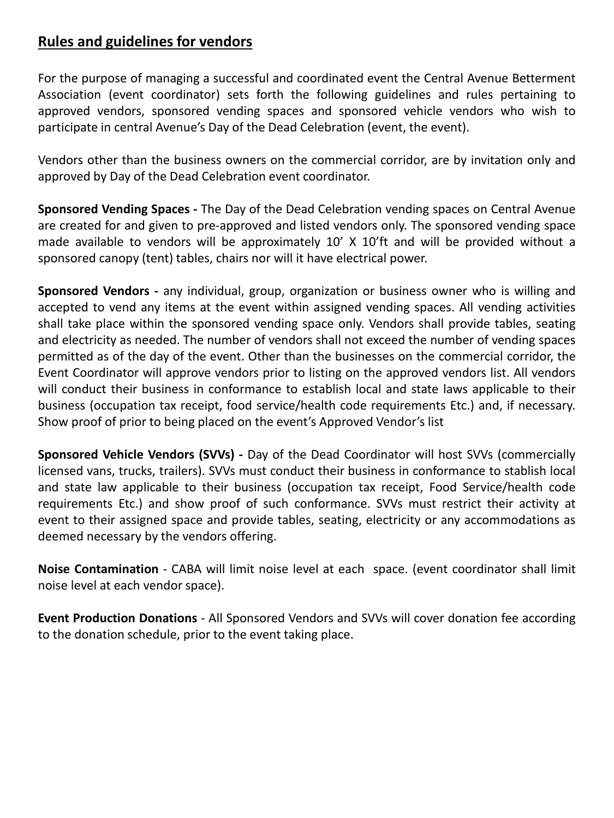### **Rules and guidelines for vendors**

For the purpose of managing a successful and coordinated event the Central Avenue Betterment Association (event coordinator) sets forth the following guidelines and rules pertaining to approved vendors, sponsored vending spaces and sponsored vehicle vendors who wish to participate in central Avenue's Day of the Dead Celebration (event, the event).

Vendors other than the business owners on the commercial corridor, are by invitation only and approved by Day of the Dead Celebration event coordinator.

**Sponsored Vending Spaces -** The Day of the Dead Celebration vending spaces on Central Avenue are created for and given to pre-approved and listed vendors only. The sponsored vending space made available to vendors will be approximately 10' X 10'ft and will be provided without a sponsored canopy (tent) tables, chairs nor will it have electrical power.

**Sponsored Vendors -** any individual, group, organization or business owner who is willing and accepted to vend any items at the event within assigned vending spaces. All vending activities shall take place within the sponsored vending space only. Vendors shall provide tables, seating and electricity as needed. The number of vendors shall not exceed the number of vending spaces permitted as of the day of the event. Other than the businesses on the commercial corridor, the Event Coordinator will approve vendors prior to listing on the approved vendors list. All vendors will conduct their business in conformance to establish local and state laws applicable to their business (occupation tax receipt, food service/health code requirements Etc.) and, if necessary. Show proof of prior to being placed on the event's Approved Vendor's list

**Sponsored Vehicle Vendors (SVVs) -** Day of the Dead Coordinator will host SVVs (commercially licensed vans, trucks, trailers). SVVs must conduct their business in conformance to stablish local and state law applicable to their business (occupation tax receipt, Food Service/health code requirements Etc.) and show proof of such conformance. SVVs must restrict their activity at event to their assigned space and provide tables, seating, electricity or any accommodations as deemed necessary by the vendors offering.

**Noise Contamination** - CABA will limit noise level at each space. (event coordinator shall limit noise level at each vendor space).

**Event Production Donations** - All Sponsored Vendors and SVVs will cover donation fee according to the donation schedule, prior to the event taking place.